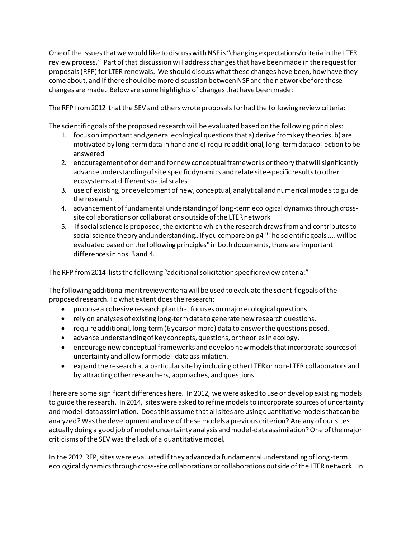One of the issues that we would like to discuss with NSF is "changing expectations/criteria in the LTER review process." Part of that discussion will address changes that have been made in the request for proposals (RFP) for LTER renewals. We should discuss what these changes have been, how have they come about, and if there should be more discussion between NSF and the network before these changes are made. Below are some highlights of changes that have been made:

The RFP from 2012 that the SEV and others wrote proposals for had the following review criteria:

The scientific goals of the proposed research will be evaluated based on the following principles:

- 1. focus on important and general ecological questions that a) derive from key theories, b) are motivated by long-term data in hand and c) require additional, long-term data collection to be answered
- 2. encouragement of or demand for new conceptual frameworks or theory that will significantly advance understanding of site specificdynamics and relate site-specific results to other ecosystems at different spatial scales
- 3. use of existing, or development of new, conceptual, analytical and numerical models to guide the research
- 4. advancement of fundamental understanding of long-term ecological dynamics through crosssite collaborations or collaborations outside of the LTER network
- 5. if social science is proposed, the extent to which the research draws from and contributes to social science theory andunderstanding.. If you compare on p4 "The scientific goals .... will be evaluated based on the following principles" in both documents, there are important differences in nos. 3 and 4.

The RFP from 2014 lists the following "additional solicitation specific review criteria:"

The following additional merit review criteria will be used to evaluate the scientific goals of the proposed research. To what extent does the research:

- propose a cohesive research plan that focuses on major ecological questions.
- rely on analyses of existing long-term data to generate new research questions.
- require additional, long-term (6 years or more) data to answer the questions posed.
- advance understanding of key concepts, questions, or theories in ecology.
- encourage new conceptual frameworks and develop new models that incorporate sources of uncertainty and allow formodel-data assimilation.
- expand the research at a particular site by including other LTER or non-LTER collaborators and by attracting otherresearchers, approaches, and questions.

There are some significant differences here. In 2012, we were asked to use or develop existing models to guide the research. In 2014, sites were asked to refine models to incorporate sources of uncertainty and model-data assimilation. Does this assume that all sites are using quantitative models that can be analyzed?Was the development and use of these models a previous criterion? Are any of our sites actually doing a good job of model uncertainty analysis and model-data assimilation? One of the major criticisms of the SEV was the lack of a quantitative model.

In the 2012 RFP, sites were evaluated if they advanced a fundamental understanding of long-term ecological dynamics through cross-site collaborations or collaborations outside of the LTER network. In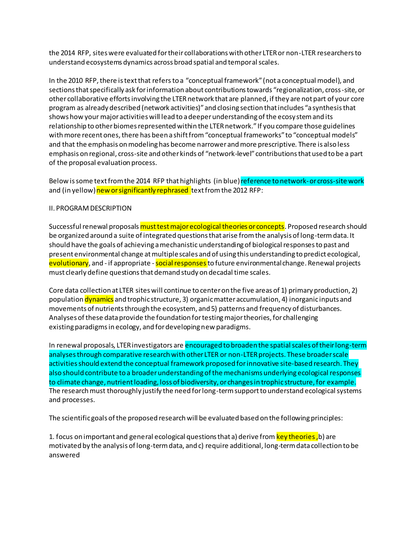the 2014 RFP, sites were evaluated for their collaborations with other LTER or non-LTER researchers to understand ecosystems dynamics across broad spatial and temporal scales.

In the 2010 RFP, there is text that refers to a "conceptual framework" (not a conceptual model), and sections that specifically ask for information about contributions towards "regionalization, cross-site, or other collaborative efforts involving the LTER network that are planned, if they are not part of your core program as already described (network activities)" and closing section that includes "a synthesis that shows how your major activities will lead to a deeper understanding of the ecosystem and its relationship to other biomes represented within the LTER network." If you compare those guidelines with more recent ones, there has been a shift from "conceptual frameworks" to "conceptual models" and that the emphasis on modeling has become narrower and more prescriptive. There is also less emphasis on regional, cross-site and other kinds of "network-level" contributions that used to be a part of the proposal evaluation process.

Below is some text from the 2014 RFP that highlights (in blue) reference to network-or cross-site work and (in yellow) new or significantly rephrased text from the 2012 RFP:

## II. PROGRAM DESCRIPTION

Successful renewal proposals must test major ecological theories or concepts. Proposed research should be organized around a suite of integrated questions that arise from the analysis of long-term data. It should have the goals of achieving a mechanistic understanding of biological responses to past and present environmental change at multiple scales and of using this understanding to predict ecological, evolutionary, and - if appropriate - social responses to future environmental change. Renewal projects must clearly define questions that demand study on decadal time scales.

Core data collection at LTER sites will continue to center on the five areas of 1) primary production, 2) population dynamics and trophic structure, 3) organic matter accumulation, 4) inorganic inputs and movements of nutrients through the ecosystem, and 5) patterns and frequency of disturbances. Analyses of these data provide the foundation for testing major theories, for challenging existing paradigms in ecology, and for developing new paradigms.

In renewal proposals, LTER investigators are encouraged to broaden the spatial scales of their long-term analyses through comparative research with other LTER or non-LTER projects. These broader scale activities should extend the conceptual framework proposed for innovative site-based research. They also should contribute to a broader understanding of the mechanisms underlying ecological responses to climate change, nutrient loading, loss of biodiversity, or changes in trophic structure, for example. The research must thoroughly justify the need for long-term support to understand ecological systems and processes.

The scientific goals of the proposed research will be evaluated based on the following principles:

1. focus on important and general ecological questions that a) derive from key theories, b) are motivated by the analysis of long-term data, and c) require additional, long-term data collection to be answered